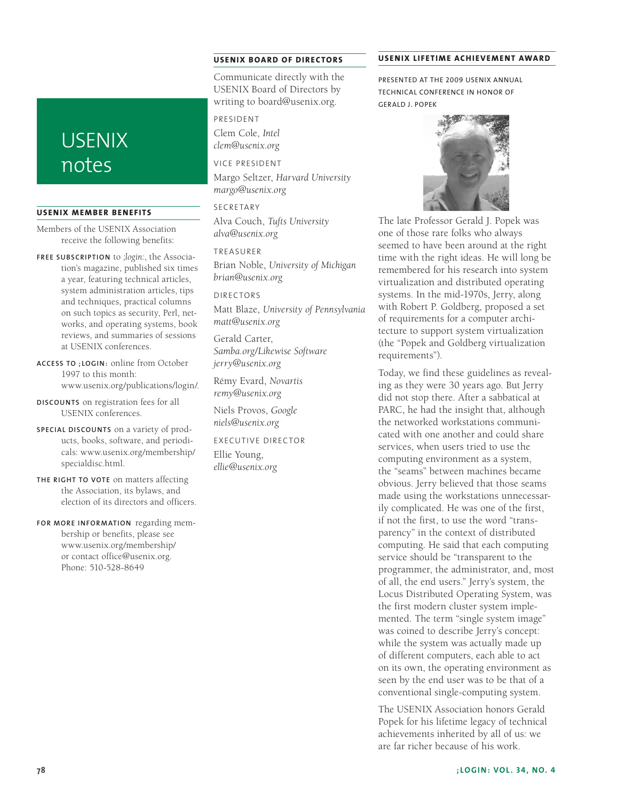## **USENIX** notes

## **USENIX Member Benefits**

Members of the USENIX Association receive the following benefits:

**Free subscrip tion** to *;login:*, the Association's magazine, published six times a year, featuring technical articles, system administration articles, tips and techniques, practical columns on such topics as security, Perl, networks, and operating systems, book reviews, and summaries of sessions at USENIX conferences.

**Access to ;login :** online from October 1997 to this month: www.usenix.org/publications/login/.

**Discounts** on registration fees for all USENIX conferences.

**Special discounts** on a variety of products, books, software, and periodicals: www.usenix.org/membership/ specialdisc.html.

**The right to vote** on matters affecting the Association, its bylaws, and election of its directors and officers.

**For more information** regarding membership or benefits, please see www.usenix.org/membership/ or contact office@usenix.org. Phone: 510-528-8649

## **USENIX Board of Director s**

Communicate directly with the USENIX Board of Directors by writing to board@usenix.org.

President Clem Cole, *Intel*

*clem@usenix.org*

Vice President

Margo Seltzer, *Harvard University margo@usenix.org*

**SECRETARY** Alva Couch, *Tufts University alva@usenix.org*

Treasurer

Brian Noble, *University of Michigan brian@usenix.org*

Directors Matt Blaze, *University of Pennsylvania matt@usenix.org*

Gerald Carter, *Samba.org/Likewise Software jerry@usenix.org*

Rémy Evard, *Novartis remy@usenix.org*

Niels Provos, *Google niels@usenix.org*

Executive Director Ellie Young, *ellie@usenix.org*

#### **USENIX LIFETIME ACHIEVEMENT AWARD**

Presented at the 2009 USENIX Annual Technical Conference In Honor of Gerald J. Popek



The late Professor Gerald J. Popek was one of those rare folks who always seemed to have been around at the right time with the right ideas. He will long be remembered for his research into system virtualization and distributed operating systems. In the mid-1970s, Jerry, along with Robert P. Goldberg, proposed a set of requirements for a computer architecture to support system virtualization (the "Popek and Goldberg virtualization requirements").

Today, we find these guidelines as revealing as they were 30 years ago. But Jerry did not stop there. After a sabbatical at PARC, he had the insight that, although the networked workstations communicated with one another and could share services, when users tried to use the computing environment as a system, the "seams" between machines became obvious. Jerry believed that those seams made using the workstations unnecessarily complicated. He was one of the first, if not the first, to use the word "transparency" in the context of distributed computing. He said that each computing service should be "transparent to the programmer, the administrator, and, most of all, the end users." Jerry's system, the Locus Distributed Operating System, was the first modern cluster system implemented. The term "single system image" was coined to describe Jerry's concept: while the system was actually made up of different computers, each able to act on its own, the operating environment as seen by the end user was to be that of a conventional single-computing system.

The USENIX Association honors Gerald Popek for his lifetime legacy of technical achievements inherited by all of us: we are far richer because of his work.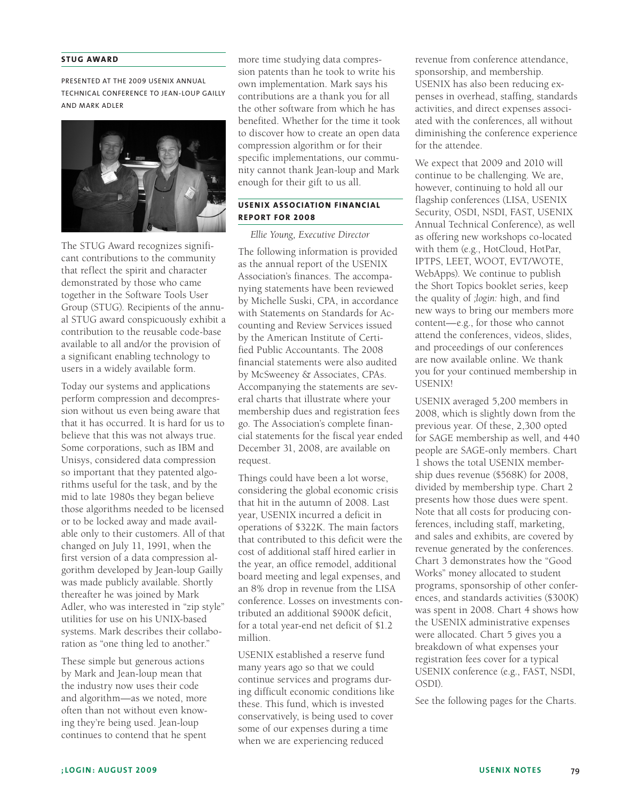### **STUG AWARD**

Presented at the 2009 USENIX Annual Technical Conference to Jean-loup Gailly and Mark Adler



The STUG Award recognizes significant contributions to the community that reflect the spirit and character demonstrated by those who came together in the Software Tools User Group (STUG). Recipients of the annual STUG award conspicuously exhibit a contribution to the reusable code-base available to all and/or the provision of a significant enabling technology to users in a widely available form.

Today our systems and applications perform compression and decompression without us even being aware that that it has occurred. It is hard for us to believe that this was not always true. Some corporations, such as IBM and Unisys, considered data compression so important that they patented algorithms useful for the task, and by the mid to late 1980s they began believe those algorithms needed to be licensed or to be locked away and made available only to their customers. All of that changed on July 11, 1991, when the first version of a data compression algorithm developed by Jean-loup Gailly was made publicly available. Shortly thereafter he was joined by Mark Adler, who was interested in "zip style" utilities for use on his UNIX-based systems. Mark describes their collaboration as "one thing led to another."

These simple but generous actions by Mark and Jean-loup mean that the industry now uses their code and algorithm—as we noted, more often than not without even knowing they're being used. Jean-loup continues to contend that he spent

more time studying data compression patents than he took to write his own implementation. Mark says his contributions are a thank you for all the other software from which he has benefited. Whether for the time it took to discover how to create an open data compression algorithm or for their specific implementations, our community cannot thank Jean-loup and Mark enough for their gift to us all.

## **USENIX Association Financial Re port for 2008**

*Ellie Young, Executive Director*

The following information is provided as the annual report of the USENIX Association's finances. The accompanying statements have been reviewed by Michelle Suski, CPA, in accordance with Statements on Standards for Accounting and Review Services issued by the American Institute of Certified Public Accountants. The 2008 financial statements were also audited by McSweeney & Associates, CPAs. Accompanying the statements are several charts that illustrate where your membership dues and registration fees go. The Association's complete financial statements for the fiscal year ended December 31, 2008, are available on request.

Things could have been a lot worse, considering the global economic crisis that hit in the autumn of 2008. Last year, USENIX incurred a deficit in operations of \$322K. The main factors that contributed to this deficit were the cost of additional staff hired earlier in the year, an office remodel, additional board meeting and legal expenses, and an 8% drop in revenue from the LISA conference. Losses on investments contributed an additional \$900K deficit, for a total year-end net deficit of \$1.2 million.

USENIX established a reserve fund many years ago so that we could continue services and programs during difficult economic conditions like these. This fund, which is invested conservatively, is being used to cover some of our expenses during a time when we are experiencing reduced

revenue from conference attendance, sponsorship, and membership. USENIX has also been reducing expenses in overhead, staffing, standards activities, and direct expenses associated with the conferences, all without diminishing the conference experience for the attendee.

We expect that 2009 and 2010 will continue to be challenging. We are, however, continuing to hold all our flagship conferences (LISA, USENIX Security, OSDI, NSDI, FAST, USENIX Annual Technical Conference), as well as offering new workshops co-located with them (e.g., HotCloud, HotPar, IPTPS, LEET, WOOT, EVT/WOTE, WebApps). We continue to publish the Short Topics booklet series, keep the quality of *;login:* high, and find new ways to bring our members more content—e.g., for those who cannot attend the conferences, videos, slides, and proceedings of our conferences are now available online. We thank you for your continued membership in USENIX!

USENIX averaged 5,200 members in 2008, which is slightly down from the previous year. Of these, 2,300 opted for SAGE membership as well, and 440 people are SAGE-only members. Chart 1 shows the total USENIX membership dues revenue (\$568K) for 2008, divided by membership type. Chart 2 presents how those dues were spent. Note that all costs for producing conferences, including staff, marketing, and sales and exhibits, are covered by revenue generated by the conferences. Chart 3 demonstrates how the "Good Works" money allocated to student programs, sponsorship of other conferences, and standards activities (\$300K) was spent in 2008. Chart 4 shows how the USENIX administrative expenses were allocated. Chart 5 gives you a breakdown of what expenses your registration fees cover for a typical USENIX conference (e.g., FAST, NSDI, OSDI).

See the following pages for the Charts.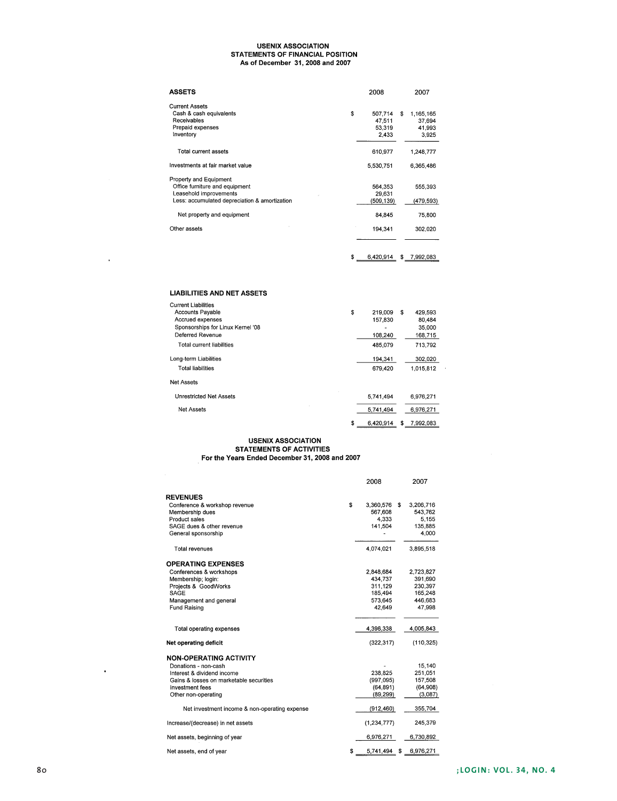## USENIX ASSOCIATION<br>STATEMENTS OF FINANCIAL POSITION As of December 31, 2008 and 2007

| <b>ASSETS</b>                                                                                                                       | 2008                                       | 2007                                         |
|-------------------------------------------------------------------------------------------------------------------------------------|--------------------------------------------|----------------------------------------------|
| <b>Current Assets</b><br>Cash & cash equivalents<br>Receivables<br>Prepaid expenses<br>Inventory                                    | \$<br>507,714<br>47.511<br>53,319<br>2,433 | \$<br>1,165,165<br>37.694<br>41,993<br>3,925 |
| <b>Total current assets</b>                                                                                                         | 610,977                                    | 1,248,777                                    |
| Investments at fair market value                                                                                                    | 5,530,751                                  | 6,365,486                                    |
| Property and Equipment<br>Office furniture and equipment<br>Leasehold improvements<br>Less: accumulated depreciation & amortization | 564.353<br>29,631<br>(509, 139)            | 555,393<br>(479,593)                         |
| Net property and equipment                                                                                                          | 84.845                                     | 75,800                                       |
| Other assets                                                                                                                        | 194,341                                    | 302,020                                      |
|                                                                                                                                     | \$<br>6,420,914                            | \$<br>7,992,083                              |

## **LIABILITIES AND NET ASSETS**

J.

| \$<br>219,009   | \$<br>429.593   |  |
|-----------------|-----------------|--|
| 157.830         | 80.484          |  |
|                 | 35,000          |  |
| 108,240         | 168,715         |  |
| 485.079         | 713.792         |  |
| 194,341         | 302,020         |  |
| 679.420         | 1.015.812       |  |
|                 |                 |  |
| 5.741.494       | 6,976,271       |  |
| 5.741.494       | 6,976,271       |  |
| \$<br>6,420,914 | \$<br>7.992.083 |  |
|                 |                 |  |

# USENIX ASSOCIATION<br>STATEMENTS OF ACTIVITIES<br>For the Years Ended December 31, 2008 and 2007

|                                               | 2008            |   | 2007       |
|-----------------------------------------------|-----------------|---|------------|
| <b>REVENUES</b>                               |                 |   |            |
| Conference & workshop revenue                 | \$<br>3,360,576 | s | 3,206,716  |
| Membership dues                               | 567.608         |   | 543.762    |
| Product sales                                 | 4.333           |   | 5.155      |
| SAGE dues & other revenue                     | 141,504         |   | 135,885    |
| General sponsorship                           |                 |   | 4,000      |
| Total revenues                                | 4.074.021       |   | 3,895,518  |
| <b>OPERATING EXPENSES</b>                     |                 |   |            |
| Conferences & workshops                       | 2,848,684       |   | 2,723,827  |
| Membership; login:                            | 434.737         |   | 391,690    |
| Projects & GoodWorks                          | 311,129         |   | 230.397    |
| SAGE                                          | 185.494         |   | 165,248    |
| Management and general                        | 573.645         |   | 446.683    |
| Fund Raising                                  | 42.649          |   | 47,998     |
|                                               |                 |   |            |
| Total operating expenses                      | 4,396,338       |   | 4,005,843  |
| Net operating deficit                         | (322, 317)      |   | (110, 325) |
| <b>NON-OPERATING ACTIVITY</b>                 |                 |   |            |
| Donations - non-cash                          |                 |   | 15,140     |
| Interest & dividend income                    | 238,825         |   | 251,051    |
| Gains & losses on marketable securities       | (997, 095)      |   | 157,508    |
| <b>Investment</b> fees                        | (64, 891)       |   | (64,908)   |
| Other non-operating                           | (89, 299)       |   | (3,087)    |
| Net investment income & non-operating expense | (912, 460)      |   | 355,704    |
| Increase/(decrease) in net assets             | (1, 234, 777)   |   | 245,379    |
| Net assets, beginning of year                 | 6,976,271       |   | 6,730,892  |
| Net assets, end of year                       | \$<br>5,741,494 | S | 6,976,271  |

 $\hat{\mathbf{r}}$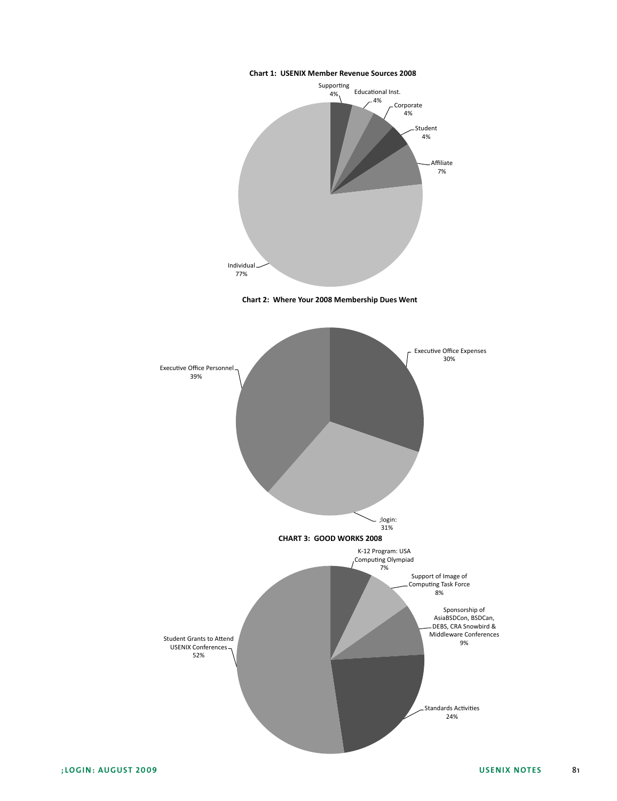## **Chart 1: USENIX Member Revenue Sources 2008**







;LOGIN: AUGUST 2009